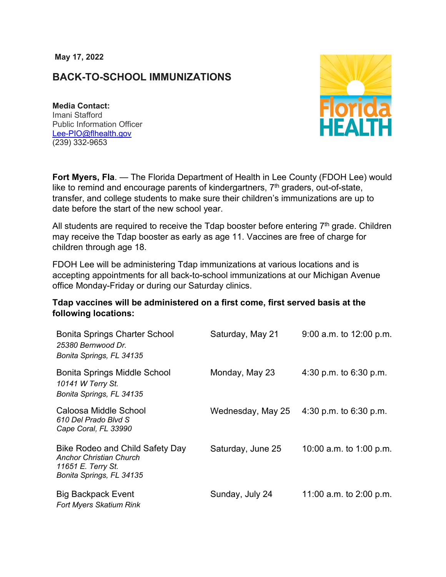**May 17, 2022**

## **BACK-TO-SCHOOL IMMUNIZATIONS**

**Media Contact:**  Imani Stafford Public Information Officer [Lee-PIO@flhealth.gov](mailto:Lee-PIO@flhealth.gov) (239) 332-9653



**Fort Myers, Fla**. — The Florida Department of Health in Lee County (FDOH Lee) would like to remind and encourage parents of kindergartners,  $7<sup>th</sup>$  graders, out-of-state, transfer, and college students to make sure their children's immunizations are up to date before the start of the new school year.

All students are required to receive the Tdap booster before entering  $7<sup>th</sup>$  grade. Children may receive the Tdap booster as early as age 11. Vaccines are free of charge for children through age 18.

FDOH Lee will be administering Tdap immunizations at various locations and is accepting appointments for all back-to-school immunizations at our Michigan Avenue office Monday-Friday or during our Saturday clinics.

## **Tdap vaccines will be administered on a first come, first served basis at the following locations:**

| <b>Bonita Springs Charter School</b><br>25380 Bernwood Dr.<br>Bonita Springs, FL 34135                              | Saturday, May 21  | $9:00$ a.m. to 12:00 p.m. |
|---------------------------------------------------------------------------------------------------------------------|-------------------|---------------------------|
| <b>Bonita Springs Middle School</b><br>10141 W Terry St.<br>Bonita Springs, FL 34135                                | Monday, May 23    | 4:30 p.m. to $6:30$ p.m.  |
| Caloosa Middle School<br>610 Del Prado Blvd S<br>Cape Coral, FL 33990                                               | Wednesday, May 25 | 4:30 p.m. to $6:30$ p.m.  |
| Bike Rodeo and Child Safety Day<br><b>Anchor Christian Church</b><br>11651 E. Terry St.<br>Bonita Springs, FL 34135 | Saturday, June 25 | 10:00 a.m. to 1:00 p.m.   |
| <b>Big Backpack Event</b><br><b>Fort Myers Skatium Rink</b>                                                         | Sunday, July 24   | 11:00 a.m. to $2:00$ p.m. |